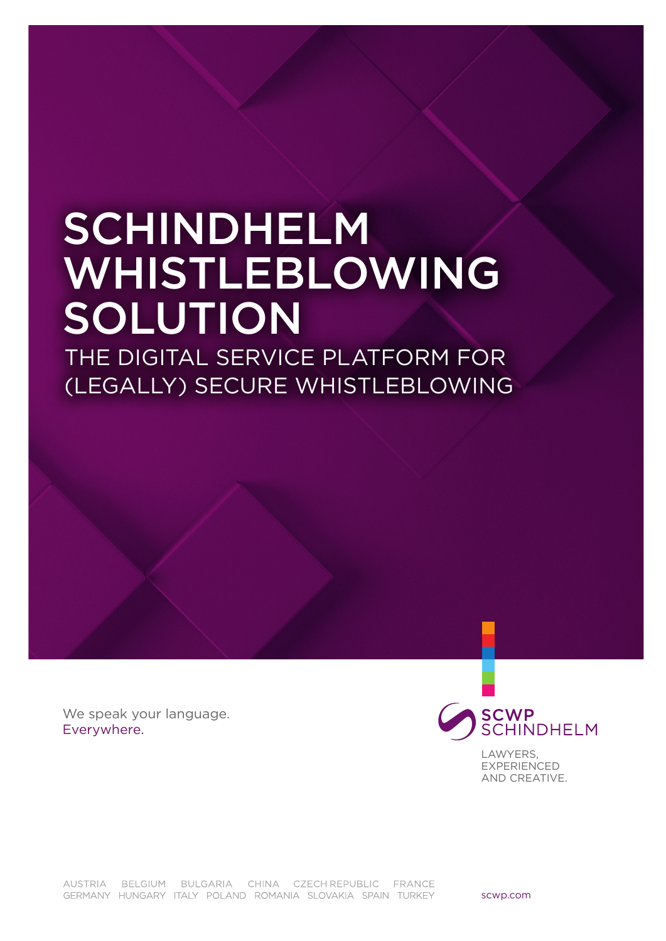# SCHINDHELM WHISTLEBLOWING SOLUTION

THE DIGITAL SERVICE PLATFORM FOR (LEGALLY) SECURE WHISTLEBLOWING

We speak your language. Everywhere.



LAWYERS, **EXPERIENCED** AND CREATIVE.

AUSTRIA BELGIUM BULGARIA CHINA CZECHREPUBLIC FRANCE GERMANY HUNGARY ITALY POLAND ROMANIA SLOVAKIA SPAIN TURKEY

scwp.com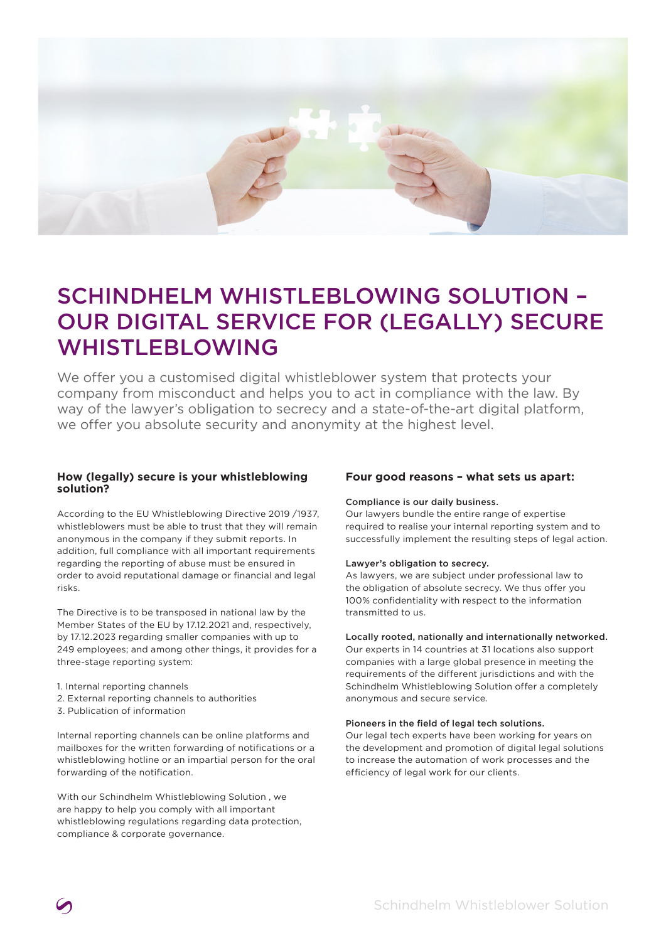

## SCHINDHELM WHISTLEBLOWING SOLUTION – OUR DIGITAL SERVICE FOR (LEGALLY) SECURE WHISTLEBLOWING

We offer you a customised digital whistleblower system that protects your company from misconduct and helps you to act in compliance with the law. By way of the lawyer's obligation to secrecy and a state-of-the-art digital platform, we offer you absolute security and anonymity at the highest level.

#### **How (legally) secure is your whistleblowing solution?**

According to the EU Whistleblowing Directive 2019 /1937, whistleblowers must be able to trust that they will remain anonymous in the company if they submit reports. In addition, full compliance with all important requirements regarding the reporting of abuse must be ensured in order to avoid reputational damage or financial and legal risks.

The Directive is to be transposed in national law by the Member States of the EU by 17.12.2021 and, respectively, by 17.12.2023 regarding smaller companies with up to 249 employees; and among other things, it provides for a three-stage reporting system:

- 1. Internal reporting channels
- 2. External reporting channels to authorities
- 3. Publication of information

Internal reporting channels can be online platforms and mailboxes for the written forwarding of notifications or a whistleblowing hotline or an impartial person for the oral forwarding of the notification.

With our Schindhelm Whistleblowing Solution , we are happy to help you comply with all important whistleblowing regulations regarding data protection, compliance & corporate governance.

#### **Four good reasons – what sets us apart:**

#### Compliance is our daily business.

Our lawyers bundle the entire range of expertise required to realise your internal reporting system and to successfully implement the resulting steps of legal action.

#### Lawyer's obligation to secrecy.

As lawyers, we are subject under professional law to the obligation of absolute secrecy. We thus offer you 100% confidentiality with respect to the information transmitted to us.

#### Locally rooted, nationally and internationally networked.

Our experts in 14 countries at 31 locations also support companies with a large global presence in meeting the requirements of the different jurisdictions and with the Schindhelm Whistleblowing Solution offer a completely anonymous and secure service.

#### Pioneers in the field of legal tech solutions.

Our legal tech experts have been working for years on the development and promotion of digital legal solutions to increase the automation of work processes and the efficiency of legal work for our clients.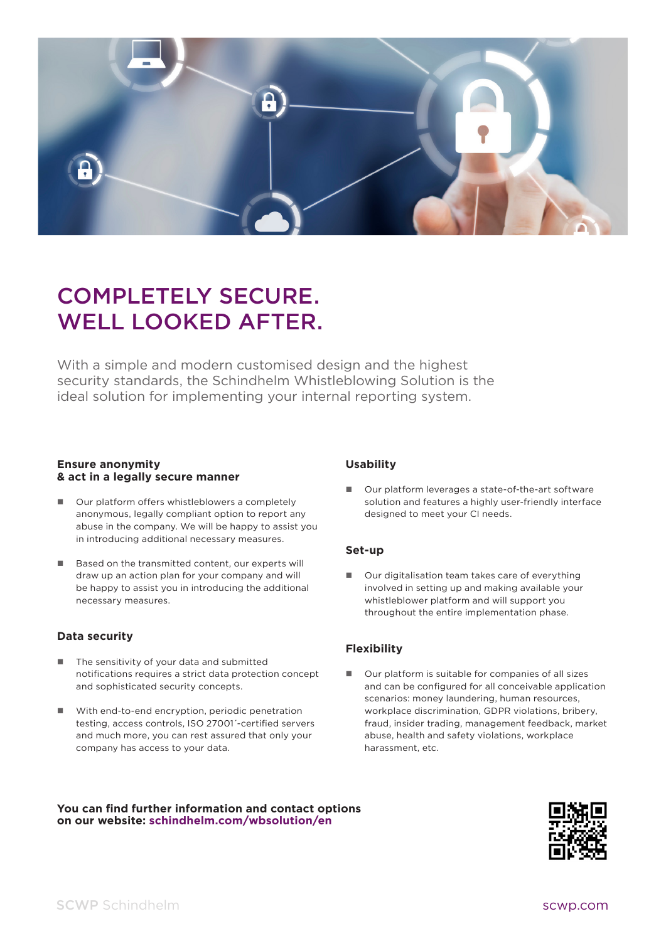

## COMPLETELY SECURE. WELL LOOKED AFTER.

With a simple and modern customised design and the highest security standards, the Schindhelm Whistleblowing Solution is the ideal solution for implementing your internal reporting system.

#### **Ensure anonymity & act in a legally secure manner**

- Our platform offers whistleblowers a completely anonymous, legally compliant option to report any abuse in the company. We will be happy to assist you in introducing additional necessary measures.
- Based on the transmitted content, our experts will draw up an action plan for your company and will be happy to assist you in introducing the additional necessary measures.

#### **Data security**

- The sensitivity of your data and submitted notifications requires a strict data protection concept and sophisticated security concepts.
- With end-to-end encryption, periodic penetration testing, access controls, ISO 27001´-certified servers and much more, you can rest assured that only your company has access to your data.

#### **Usability**

 Our platform leverages a state-of-the-art software solution and features a highly user-friendly interface designed to meet your CI needs.

#### **Set-up**

■ Our digitalisation team takes care of everything involved in setting up and making available your whistleblower platform and will support you throughout the entire implementation phase.

#### **Flexibility**

 Our platform is suitable for companies of all sizes and can be configured for all conceivable application scenarios: money laundering, human resources, workplace discrimination, GDPR violations, bribery, fraud, insider trading, management feedback, market abuse, health and safety violations, workplace harassment, etc.

**You can find further information and contact options on our website: schindhelm.com/wbsolution/en**